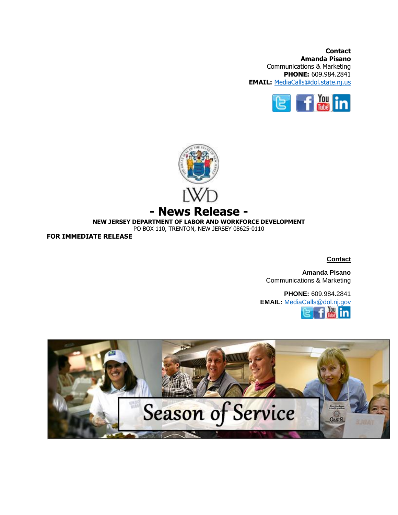**Contact Amanda Pisano** Communications & Marketing **PHONE:** 609.984.2841 **EMAIL:** [MediaCalls@dol.state.nj.us](mailto:MediaCalls@dol.state.nj.us)





**NEW JERSEY DEPARTMENT OF LABOR AND WORKFORCE DEVELOPMENT**

PO BOX 110, TRENTON, NEW JERSEY 08625-0110

**FOR IMMEDIATE RELEASE**

**Contact**

**Amanda Pisano** Communications & Marketing

**PHONE:** 609.984.2841 **EMAIL:** [MediaCalls@dol.nj.g](mailto:MediaCalls@dol.nj.)ovYou 'n

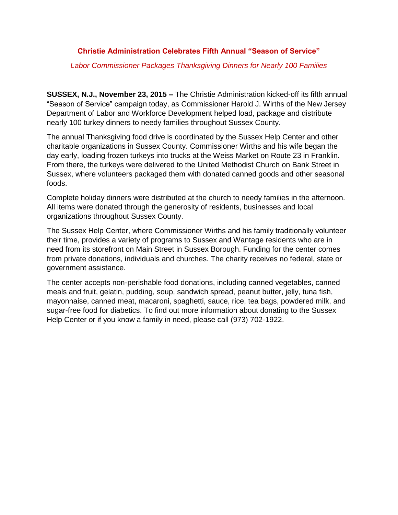## **Christie Administration Celebrates Fifth Annual "Season of Service"**

*Labor Commissioner Packages Thanksgiving Dinners for Nearly 100 Families*

**SUSSEX, N.J., November 23, 2015 –** The Christie Administration kicked-off its fifth annual "Season of Service" campaign today, as Commissioner Harold J. Wirths of the New Jersey Department of Labor and Workforce Development helped load, package and distribute nearly 100 turkey dinners to needy families throughout Sussex County.

The annual Thanksgiving food drive is coordinated by the Sussex Help Center and other charitable organizations in Sussex County. Commissioner Wirths and his wife began the day early, loading frozen turkeys into trucks at the Weiss Market on Route 23 in Franklin. From there, the turkeys were delivered to the United Methodist Church on Bank Street in Sussex, where volunteers packaged them with donated canned goods and other seasonal foods.

Complete holiday dinners were distributed at the church to needy families in the afternoon. All items were donated through the generosity of residents, businesses and local organizations throughout Sussex County.

The Sussex Help Center, where Commissioner Wirths and his family traditionally volunteer their time, provides a variety of programs to Sussex and Wantage residents who are in need from its storefront on Main Street in Sussex Borough. Funding for the center comes from private donations, individuals and churches. The charity receives no federal, state or government assistance.

The center accepts non-perishable food donations, including canned vegetables, canned meals and fruit, gelatin, pudding, soup, sandwich spread, peanut butter, jelly, tuna fish, mayonnaise, canned meat, macaroni, spaghetti, sauce, rice, tea bags, powdered milk, and sugar-free food for diabetics. To find out more information about donating to the Sussex Help Center or if you know a family in need, please call (973) 702-1922.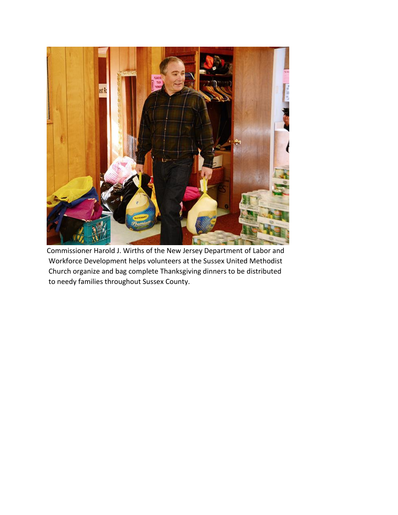

Commissioner Harold J. Wirths of the New Jersey Department of Labor and Workforce Development helps volunteers at the Sussex United Methodist Church organize and bag complete Thanksgiving dinners to be distributed to needy families throughout Sussex County.